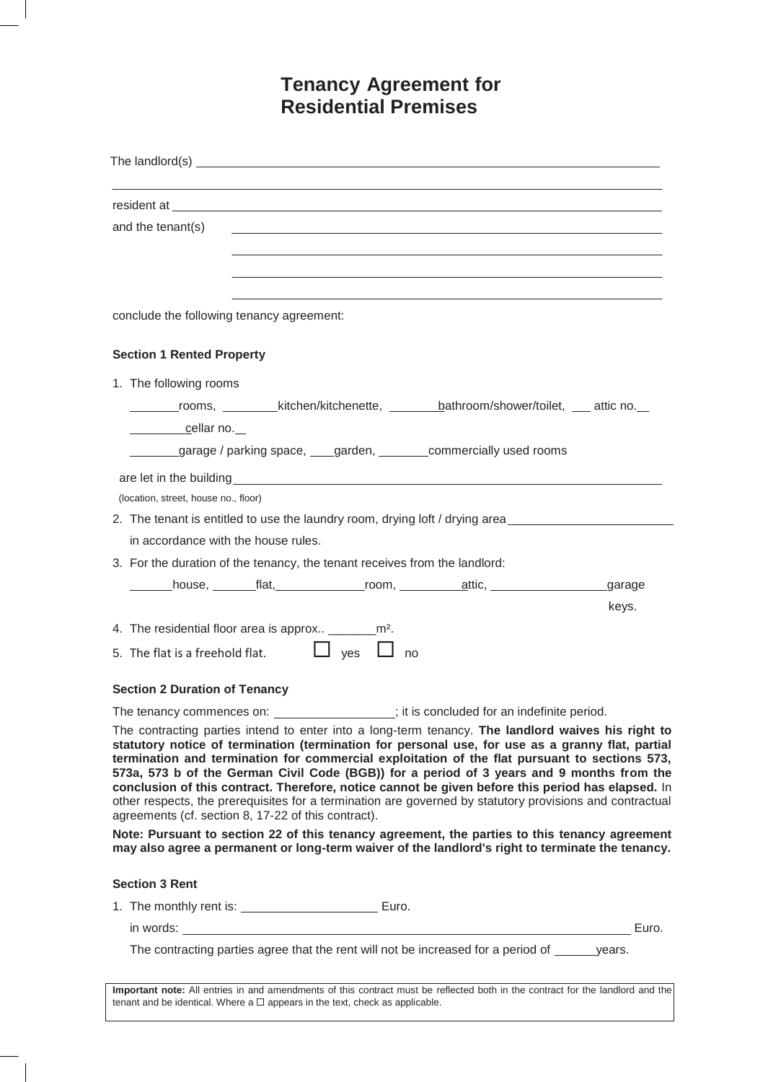# **Tenancy Agreement for Residential Premises**

| The landlord(s) $\qquad \qquad$                                                                                                                                                                                                                                                                                                                                                                                                                                                                                                                                                                                                                                              |
|------------------------------------------------------------------------------------------------------------------------------------------------------------------------------------------------------------------------------------------------------------------------------------------------------------------------------------------------------------------------------------------------------------------------------------------------------------------------------------------------------------------------------------------------------------------------------------------------------------------------------------------------------------------------------|
| resident at each contract of the contract of the contract of the contract of the contract of the contract of the contract of the contract of the contract of the contract of the contract of the contract of the contract of t                                                                                                                                                                                                                                                                                                                                                                                                                                               |
| and the tenant(s)                                                                                                                                                                                                                                                                                                                                                                                                                                                                                                                                                                                                                                                            |
|                                                                                                                                                                                                                                                                                                                                                                                                                                                                                                                                                                                                                                                                              |
|                                                                                                                                                                                                                                                                                                                                                                                                                                                                                                                                                                                                                                                                              |
| conclude the following tenancy agreement:                                                                                                                                                                                                                                                                                                                                                                                                                                                                                                                                                                                                                                    |
| <b>Section 1 Rented Property</b>                                                                                                                                                                                                                                                                                                                                                                                                                                                                                                                                                                                                                                             |
| 1. The following rooms                                                                                                                                                                                                                                                                                                                                                                                                                                                                                                                                                                                                                                                       |
| _______rooms, _________kitchen/kitchenette, _________bathroom/shower/toilet, ____ attic no.__                                                                                                                                                                                                                                                                                                                                                                                                                                                                                                                                                                                |
| <u>cellar no.</u>                                                                                                                                                                                                                                                                                                                                                                                                                                                                                                                                                                                                                                                            |
| garage / parking space, ____garden, ________commercially used rooms                                                                                                                                                                                                                                                                                                                                                                                                                                                                                                                                                                                                          |
| are let in the building experience of the state of the state of the state of the state of the state of the state of the state of the state of the state of the state of the state of the state of the state of the state of th                                                                                                                                                                                                                                                                                                                                                                                                                                               |
| (location, street, house no., floor)                                                                                                                                                                                                                                                                                                                                                                                                                                                                                                                                                                                                                                         |
| 2. The tenant is entitled to use the laundry room, drying loft / drying area                                                                                                                                                                                                                                                                                                                                                                                                                                                                                                                                                                                                 |
| in accordance with the house rules.                                                                                                                                                                                                                                                                                                                                                                                                                                                                                                                                                                                                                                          |
| 3. For the duration of the tenancy, the tenant receives from the landlord:                                                                                                                                                                                                                                                                                                                                                                                                                                                                                                                                                                                                   |
| house, tlat, the room, that attic,<br>garage                                                                                                                                                                                                                                                                                                                                                                                                                                                                                                                                                                                                                                 |
| keys.                                                                                                                                                                                                                                                                                                                                                                                                                                                                                                                                                                                                                                                                        |
| 4. The residential floor area is approx ___________ m <sup>2</sup> .                                                                                                                                                                                                                                                                                                                                                                                                                                                                                                                                                                                                         |
| $\Box$ yes $\Box$<br>5. The flat is a freehold flat.<br>no                                                                                                                                                                                                                                                                                                                                                                                                                                                                                                                                                                                                                   |
| <b>Section 2 Duration of Tenancy</b>                                                                                                                                                                                                                                                                                                                                                                                                                                                                                                                                                                                                                                         |
| The tenancy commences on: __________________; it is concluded for an indefinite period.                                                                                                                                                                                                                                                                                                                                                                                                                                                                                                                                                                                      |
| The contracting parties intend to enter into a long-term tenancy. The landlord waives his right to<br>statutory notice of termination (termination for personal use, for use as a granny flat, partial<br>termination and termination for commercial exploitation of the flat pursuant to sections 573,<br>573a, 573 b of the German Civil Code (BGB)) for a period of 3 years and 9 months from the<br>conclusion of this contract. Therefore, notice cannot be given before this period has elapsed. In<br>other respects, the prerequisites for a termination are governed by statutory provisions and contractual<br>agreements (cf. section 8, 17-22 of this contract). |
| Note: Pursuant to section 22 of this tenancy agreement, the parties to this tenancy agreement<br>may also agree a permanent or long-term waiver of the landlord's right to terminate the tenancy.                                                                                                                                                                                                                                                                                                                                                                                                                                                                            |
| <b>Section 3 Rent</b>                                                                                                                                                                                                                                                                                                                                                                                                                                                                                                                                                                                                                                                        |
| 1. The monthly rent is: ________________________________ Euro.                                                                                                                                                                                                                                                                                                                                                                                                                                                                                                                                                                                                               |
| Euro.                                                                                                                                                                                                                                                                                                                                                                                                                                                                                                                                                                                                                                                                        |
| The contracting parties agree that the rent will not be increased for a period of <u>same</u> years.                                                                                                                                                                                                                                                                                                                                                                                                                                                                                                                                                                         |
| Important note: All entries in and amendments of this contract must be reflected both in the contract for the landlord and the<br>tenant and be identical. Where a $\Box$ appears in the text, check as applicable.                                                                                                                                                                                                                                                                                                                                                                                                                                                          |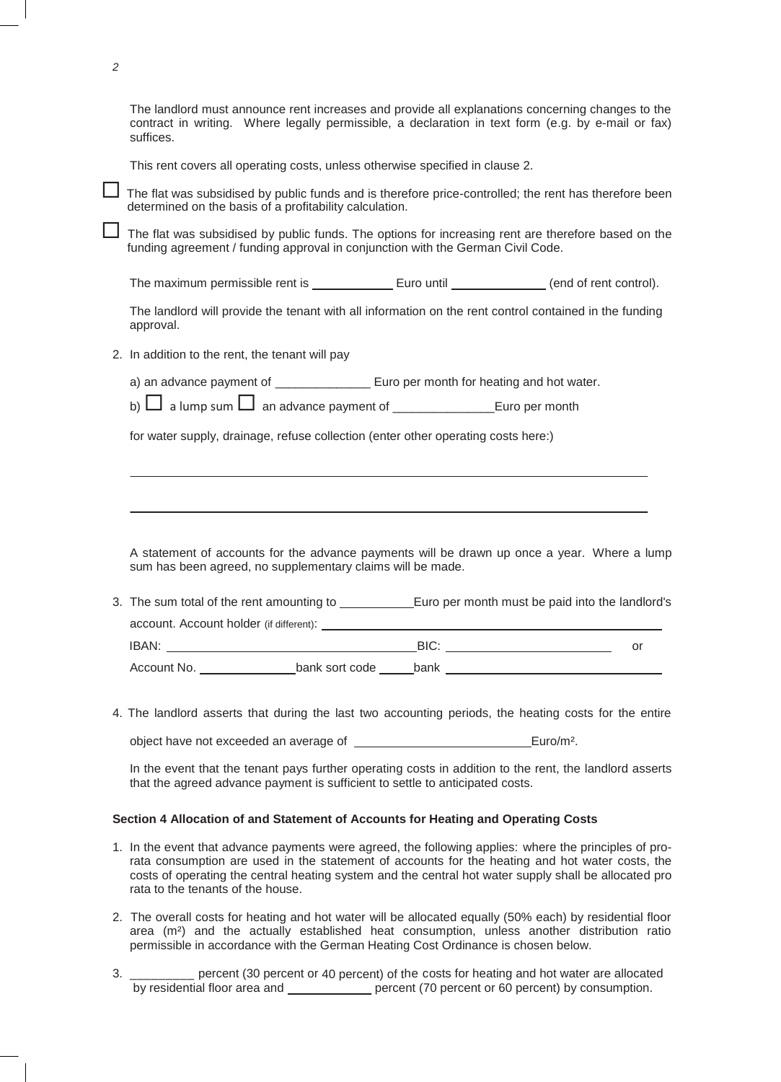|                                                                                   | The landlord must announce rent increases and provide all explanations concerning changes to the<br>contract in writing. Where legally permissible, a declaration in text form (e.g. by e-mail or fax)<br>suffices. |  |  |  |  |  |  |
|-----------------------------------------------------------------------------------|---------------------------------------------------------------------------------------------------------------------------------------------------------------------------------------------------------------------|--|--|--|--|--|--|
|                                                                                   | This rent covers all operating costs, unless otherwise specified in clause 2.                                                                                                                                       |  |  |  |  |  |  |
|                                                                                   | The flat was subsidised by public funds and is therefore price-controlled; the rent has therefore been<br>determined on the basis of a profitability calculation.                                                   |  |  |  |  |  |  |
|                                                                                   | The flat was subsidised by public funds. The options for increasing rent are therefore based on the<br>funding agreement / funding approval in conjunction with the German Civil Code.                              |  |  |  |  |  |  |
|                                                                                   | The maximum permissible rent is ___________________ Euro until ________________ (end of rent control).                                                                                                              |  |  |  |  |  |  |
|                                                                                   | The landlord will provide the tenant with all information on the rent control contained in the funding<br>approval.                                                                                                 |  |  |  |  |  |  |
|                                                                                   | 2. In addition to the rent, the tenant will pay                                                                                                                                                                     |  |  |  |  |  |  |
|                                                                                   | a) an advance payment of __________________ Euro per month for heating and hot water.                                                                                                                               |  |  |  |  |  |  |
|                                                                                   |                                                                                                                                                                                                                     |  |  |  |  |  |  |
| for water supply, drainage, refuse collection (enter other operating costs here:) |                                                                                                                                                                                                                     |  |  |  |  |  |  |
|                                                                                   |                                                                                                                                                                                                                     |  |  |  |  |  |  |
|                                                                                   |                                                                                                                                                                                                                     |  |  |  |  |  |  |
|                                                                                   |                                                                                                                                                                                                                     |  |  |  |  |  |  |
|                                                                                   | A statement of accounts for the advance payments will be drawn up once a year. Where a lump<br>sum has been agreed, no supplementary claims will be made.                                                           |  |  |  |  |  |  |
|                                                                                   |                                                                                                                                                                                                                     |  |  |  |  |  |  |
|                                                                                   |                                                                                                                                                                                                                     |  |  |  |  |  |  |
|                                                                                   | or                                                                                                                                                                                                                  |  |  |  |  |  |  |
|                                                                                   | Account No. ____________________bank sort code ______bank _______________________                                                                                                                                   |  |  |  |  |  |  |
|                                                                                   | 4. The landlord asserts that during the last two accounting periods, the heating costs for the entire                                                                                                               |  |  |  |  |  |  |
|                                                                                   |                                                                                                                                                                                                                     |  |  |  |  |  |  |
|                                                                                   | In the event that the tenant pays further operating costs in addition to the rent, the landlord asserts<br>that the agreed advance payment is sufficient to settle to anticipated costs.                            |  |  |  |  |  |  |
|                                                                                   | Section 4 Allocation of and Statement of Accounts for Heating and Operating Costs                                                                                                                                   |  |  |  |  |  |  |
|                                                                                   |                                                                                                                                                                                                                     |  |  |  |  |  |  |

*2*

- rata consumption are used in the statement of accounts for the heating and hot water costs, the costs of operating the central heating system and the central hot water supply shall be allocated pro rata to the tenants of the house.
- 2. The overall costs for heating and hot water will be allocated equally (50% each) by residential floor area (m²) and the actually established heat consumption, unless another distribution ratio permissible in accordance with the German Heating Cost Ordinance is chosen below.
- 3. \_\_\_\_\_\_\_\_\_ percent (30 percent or 40 percent) of the costs for heating and hot water are allocated by residential floor area and \_\_\_\_\_\_\_\_\_\_\_\_\_ percent (70 percent or 60 percent) by consumption.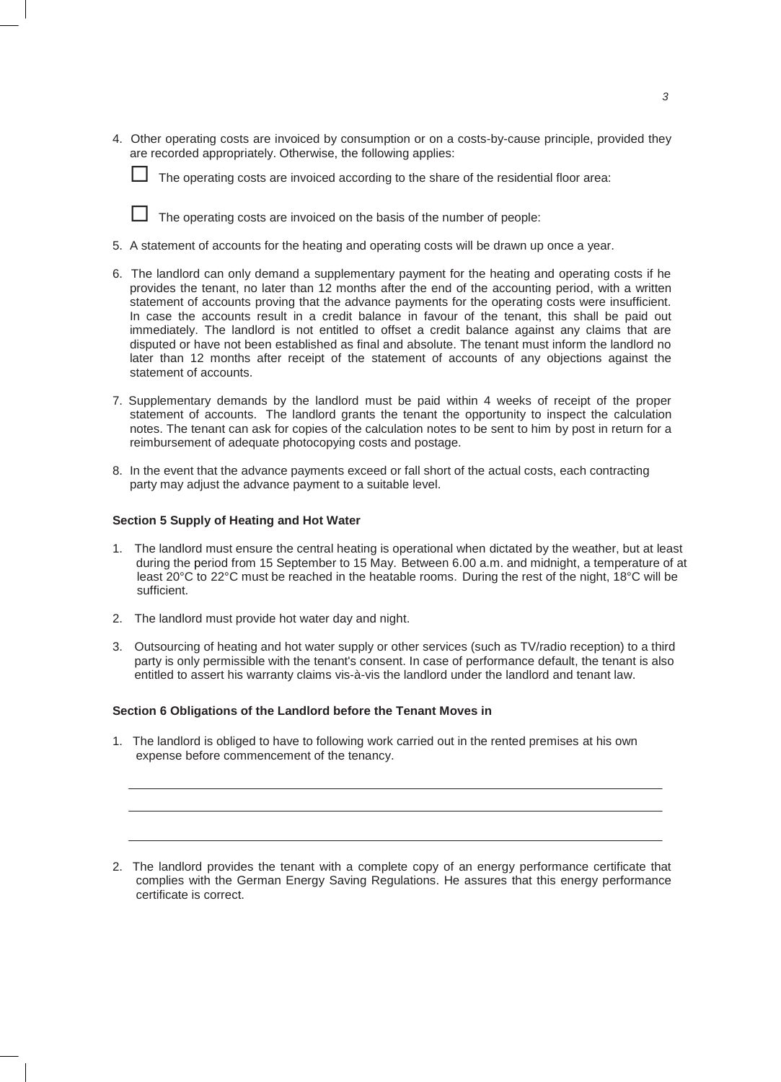4. Other operating costs are invoiced by consumption or on a costs-by-cause principle, provided they are recorded appropriately. Otherwise, the following applies:



 $\Box$  The operating costs are invoiced according to the share of the residential floor area:

 $\Box$  The operating costs are invoiced on the basis of the number of people:

- 5. A statement of accounts for the heating and operating costs will be drawn up once a year.
- 6. The landlord can only demand a supplementary payment for the heating and operating costs if he provides the tenant, no later than 12 months after the end of the accounting period, with a written statement of accounts proving that the advance payments for the operating costs were insufficient. In case the accounts result in a credit balance in favour of the tenant, this shall be paid out immediately. The landlord is not entitled to offset a credit balance against any claims that are disputed or have not been established as final and absolute. The tenant must inform the landlord no later than 12 months after receipt of the statement of accounts of any objections against the statement of accounts.
- 7. Supplementary demands by the landlord must be paid within 4 weeks of receipt of the proper statement of accounts. The landlord grants the tenant the opportunity to inspect the calculation notes. The tenant can ask for copies of the calculation notes to be sent to him by post in return for a reimbursement of adequate photocopying costs and postage.
- 8. In the event that the advance payments exceed or fall short of the actual costs, each contracting party may adjust the advance payment to a suitable level.

# **Section 5 Supply of Heating and Hot Water**

- 1. The landlord must ensure the central heating is operational when dictated by the weather, but at least during the period from 15 September to 15 May. Between 6.00 a.m. and midnight, a temperature of at least 20°C to 22°C must be reached in the heatable rooms. During the rest of the night, 18°C will be sufficient.
- 2. The landlord must provide hot water day and night.
- 3. Outsourcing of heating and hot water supply or other services (such as TV/radio reception) to a third party is only permissible with the tenant's consent. In case of performance default, the tenant is also entitled to assert his warranty claims vis-à-vis the landlord under the landlord and tenant law.

## **Section 6 Obligations of the Landlord before the Tenant Moves in**

1. The landlord is obliged to have to following work carried out in the rented premises at his own expense before commencement of the tenancy.

2. The landlord provides the tenant with a complete copy of an energy performance certificate that complies with the German Energy Saving Regulations. He assures that this energy performance certificate is correct.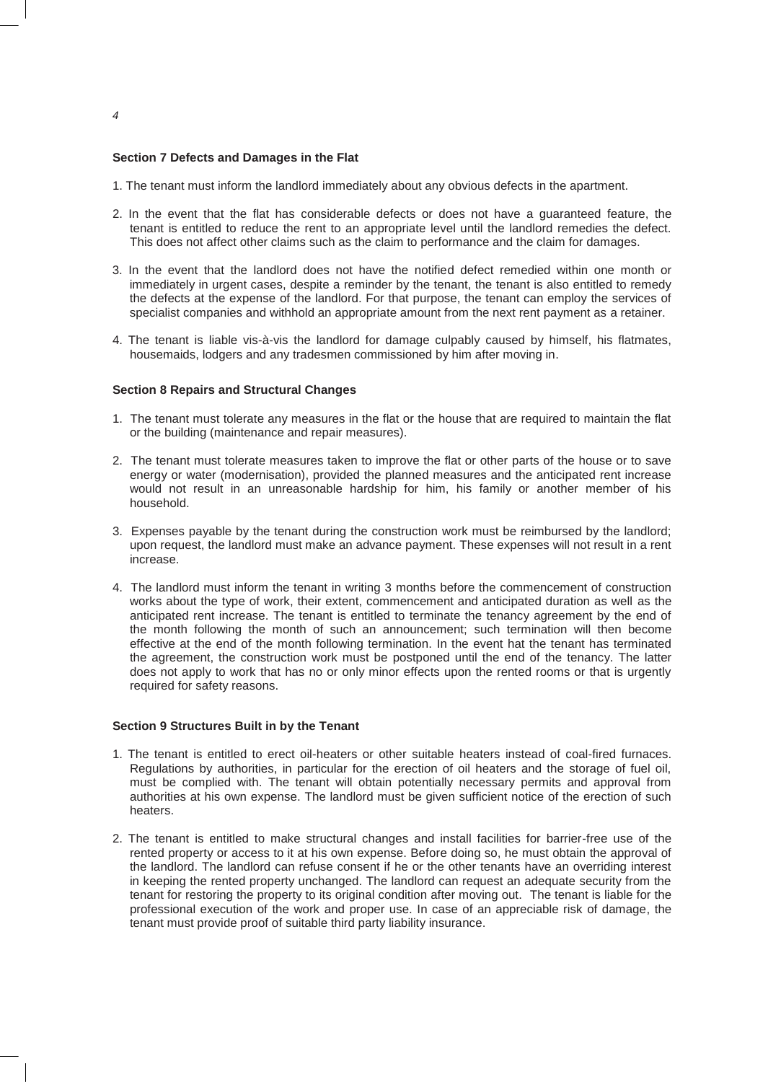### **Section 7 Defects and Damages in the Flat**

- 1. The tenant must inform the landlord immediately about any obvious defects in the apartment.
- 2. In the event that the flat has considerable defects or does not have a guaranteed feature, the tenant is entitled to reduce the rent to an appropriate level until the landlord remedies the defect. This does not affect other claims such as the claim to performance and the claim for damages.
- 3. In the event that the landlord does not have the notified defect remedied within one month or immediately in urgent cases, despite a reminder by the tenant, the tenant is also entitled to remedy the defects at the expense of the landlord. For that purpose, the tenant can employ the services of specialist companies and withhold an appropriate amount from the next rent payment as a retainer.
- 4. The tenant is liable vis-à-vis the landlord for damage culpably caused by himself, his flatmates, housemaids, lodgers and any tradesmen commissioned by him after moving in.

#### **Section 8 Repairs and Structural Changes**

- 1. The tenant must tolerate any measures in the flat or the house that are required to maintain the flat or the building (maintenance and repair measures).
- 2. The tenant must tolerate measures taken to improve the flat or other parts of the house or to save energy or water (modernisation), provided the planned measures and the anticipated rent increase would not result in an unreasonable hardship for him, his family or another member of his household.
- 3. Expenses payable by the tenant during the construction work must be reimbursed by the landlord; upon request, the landlord must make an advance payment. These expenses will not result in a rent increase.
- 4. The landlord must inform the tenant in writing 3 months before the commencement of construction works about the type of work, their extent, commencement and anticipated duration as well as the anticipated rent increase. The tenant is entitled to terminate the tenancy agreement by the end of the month following the month of such an announcement; such termination will then become effective at the end of the month following termination. In the event hat the tenant has terminated the agreement, the construction work must be postponed until the end of the tenancy. The latter does not apply to work that has no or only minor effects upon the rented rooms or that is urgently required for safety reasons.

#### **Section 9 Structures Built in by the Tenant**

- 1. The tenant is entitled to erect oil-heaters or other suitable heaters instead of coal-fired furnaces. Regulations by authorities, in particular for the erection of oil heaters and the storage of fuel oil, must be complied with. The tenant will obtain potentially necessary permits and approval from authorities at his own expense. The landlord must be given sufficient notice of the erection of such heaters.
- 2. The tenant is entitled to make structural changes and install facilities for barrier-free use of the rented property or access to it at his own expense. Before doing so, he must obtain the approval of the landlord. The landlord can refuse consent if he or the other tenants have an overriding interest in keeping the rented property unchanged. The landlord can request an adequate security from the tenant for restoring the property to its original condition after moving out. The tenant is liable for the professional execution of the work and proper use. In case of an appreciable risk of damage, the tenant must provide proof of suitable third party liability insurance.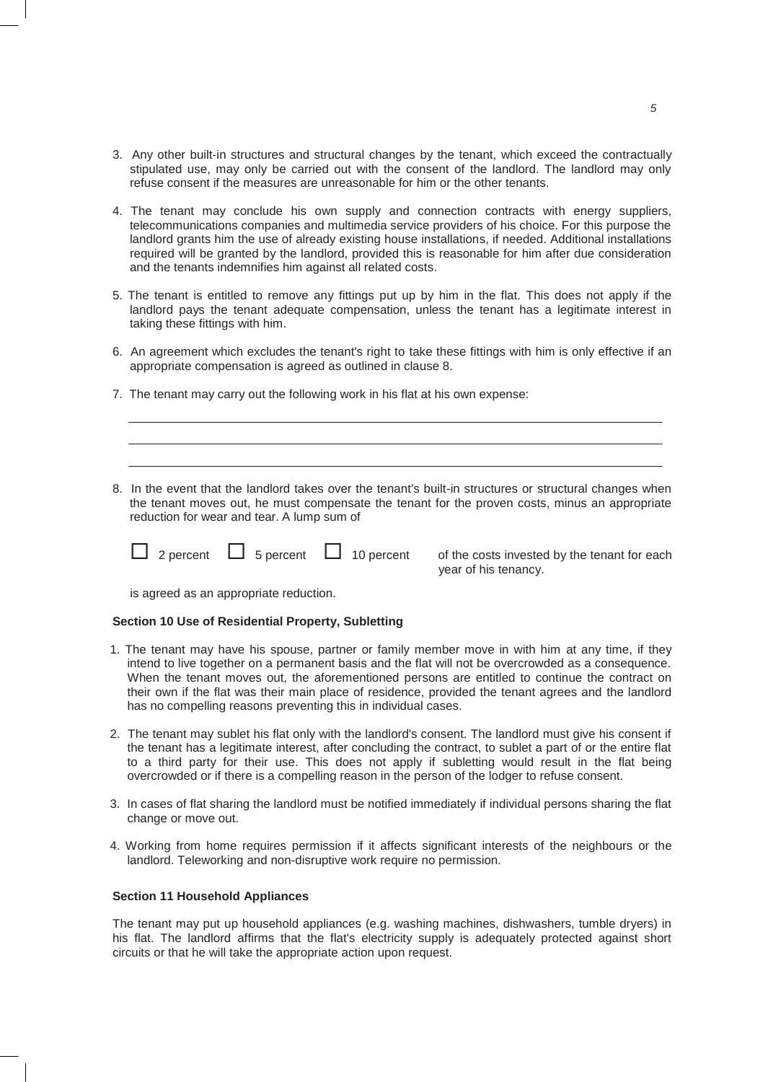- 3. Any other built-in structures and structural changes by the tenant, which exceed the contractually stipulated use, may only be carried out with the consent of the landlord. The landlord may only refuse consent if the measures are unreasonable for him or the other tenants.
- 4. The tenant may conclude his own supply and connection contracts with energy suppliers, telecommunications companies and multimedia service providers of his choice. For this purpose the landlord grants him the use of already existing house installations, if needed. Additional installations required will be granted by the landlord, provided this is reasonable for him after due consideration and the tenants indemnifies him against all related costs.
- 5. The tenant is entitled to remove any fittings put up by him in the flat. This does not apply if the landlord pays the tenant adequate compensation, unless the tenant has a legitimate interest in taking these fittings with him.
- 6. An agreement which excludes the tenant's right to take these fittings with him is only effective if an appropriate compensation is agreed as outlined in clause 8.
- 7. The tenant may carry out the following work in his flat at his own expense:
- 8. In the event that the landlord takes over the tenant's built-in structures or structural changes when the tenant moves out, he must compensate the tenant for the proven costs, minus an appropriate reduction for wear and tear. A lump sum of

|  | 2 percent | 5 percent | 10 perce |
|--|-----------|-----------|----------|
|  |           |           |          |

ent of the costs invested by the tenant for each year of his tenancy.

is agreed as an appropriate reduction.

#### **Section 10 Use of Residential Property, Subletting**

- 1. The tenant may have his spouse, partner or family member move in with him at any time, if they intend to live together on a permanent basis and the flat will not be overcrowded as a consequence. When the tenant moves out, the aforementioned persons are entitled to continue the contract on their own if the flat was their main place of residence, provided the tenant agrees and the landlord has no compelling reasons preventing this in individual cases.
- 2. The tenant may sublet his flat only with the landlord's consent. The landlord must give his consent if the tenant has a legitimate interest, after concluding the contract, to sublet a part of or the entire flat to a third party for their use. This does not apply if subletting would result in the flat being overcrowded or if there is a compelling reason in the person of the lodger to refuse consent.
- 3. In cases of flat sharing the landlord must be notified immediately if individual persons sharing the flat change or move out.
- 4. Working from home requires permission if it affects significant interests of the neighbours or the landlord. Teleworking and non-disruptive work require no permission.

#### **Section 11 Household Appliances**

The tenant may put up household appliances (e.g. washing machines, dishwashers, tumble dryers) in his flat. The landlord affirms that the flat's electricity supply is adequately protected against short circuits or that he will take the appropriate action upon request.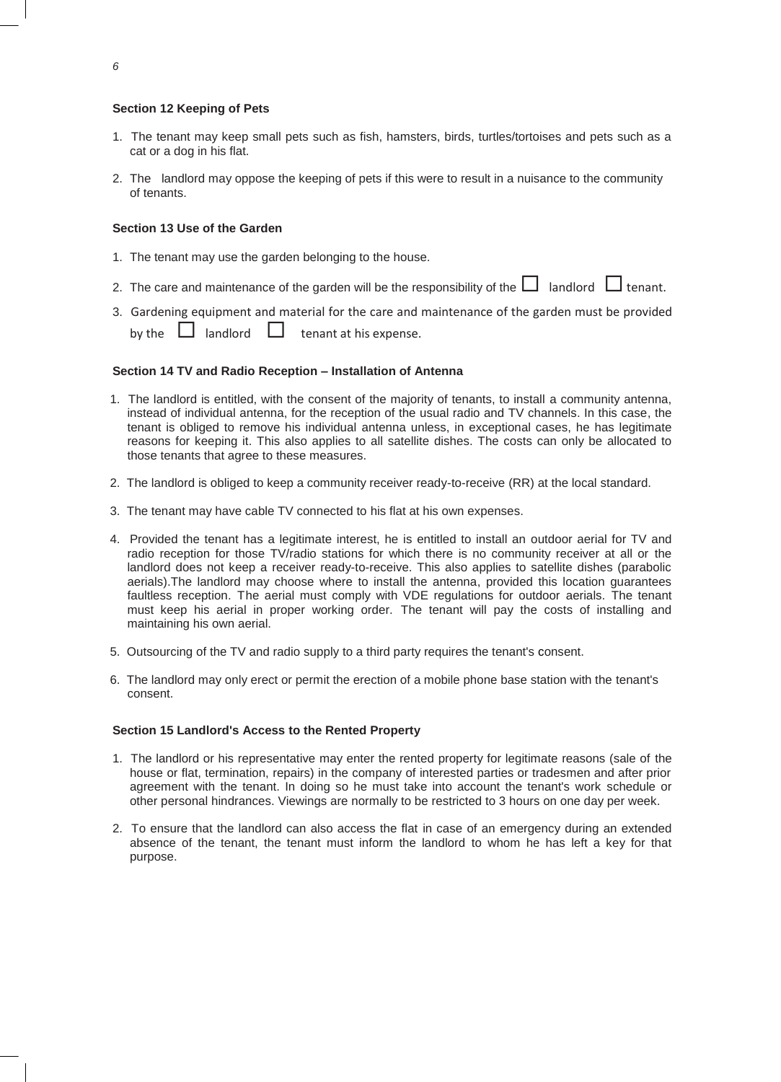# **Section 12 Keeping of Pets**

- 1. The tenant may keep small pets such as fish, hamsters, birds, turtles/tortoises and pets such as a cat or a dog in his flat.
- 2. The landlord may oppose the keeping of pets if this were to result in a nuisance to the community of tenants.

# **Section 13 Use of the Garden**

- 1. The tenant may use the garden belonging to the house.
- 2. The care and maintenance of the garden will be the responsibility of the  $\Box$  landlord  $\Box$  tenant.
- 3. Gardening equipment and material for the care and maintenance of the garden must be provided
	- by the  $\Box$  landlord  $\Box$  tenant at his expense.

## **Section 14 TV and Radio Reception – Installation of Antenna**

- 1. The landlord is entitled, with the consent of the majority of tenants, to install a community antenna, instead of individual antenna, for the reception of the usual radio and TV channels. In this case, the tenant is obliged to remove his individual antenna unless, in exceptional cases, he has legitimate reasons for keeping it. This also applies to all satellite dishes. The costs can only be allocated to those tenants that agree to these measures.
- 2. The landlord is obliged to keep a community receiver ready-to-receive (RR) at the local standard.
- 3. The tenant may have cable TV connected to his flat at his own expenses.
- 4. Provided the tenant has a legitimate interest, he is entitled to install an outdoor aerial for TV and radio reception for those TV/radio stations for which there is no community receiver at all or the landlord does not keep a receiver ready-to-receive. This also applies to satellite dishes (parabolic aerials).The landlord may choose where to install the antenna, provided this location guarantees faultless reception. The aerial must comply with VDE regulations for outdoor aerials. The tenant must keep his aerial in proper working order. The tenant will pay the costs of installing and maintaining his own aerial.
- 5. Outsourcing of the TV and radio supply to a third party requires the tenant's consent.
- 6. The landlord may only erect or permit the erection of a mobile phone base station with the tenant's consent.

## **Section 15 Landlord's Access to the Rented Property**

- 1. The landlord or his representative may enter the rented property for legitimate reasons (sale of the house or flat, termination, repairs) in the company of interested parties or tradesmen and after prior agreement with the tenant. In doing so he must take into account the tenant's work schedule or other personal hindrances. Viewings are normally to be restricted to 3 hours on one day per week.
- 2. To ensure that the landlord can also access the flat in case of an emergency during an extended absence of the tenant, the tenant must inform the landlord to whom he has left a key for that purpose.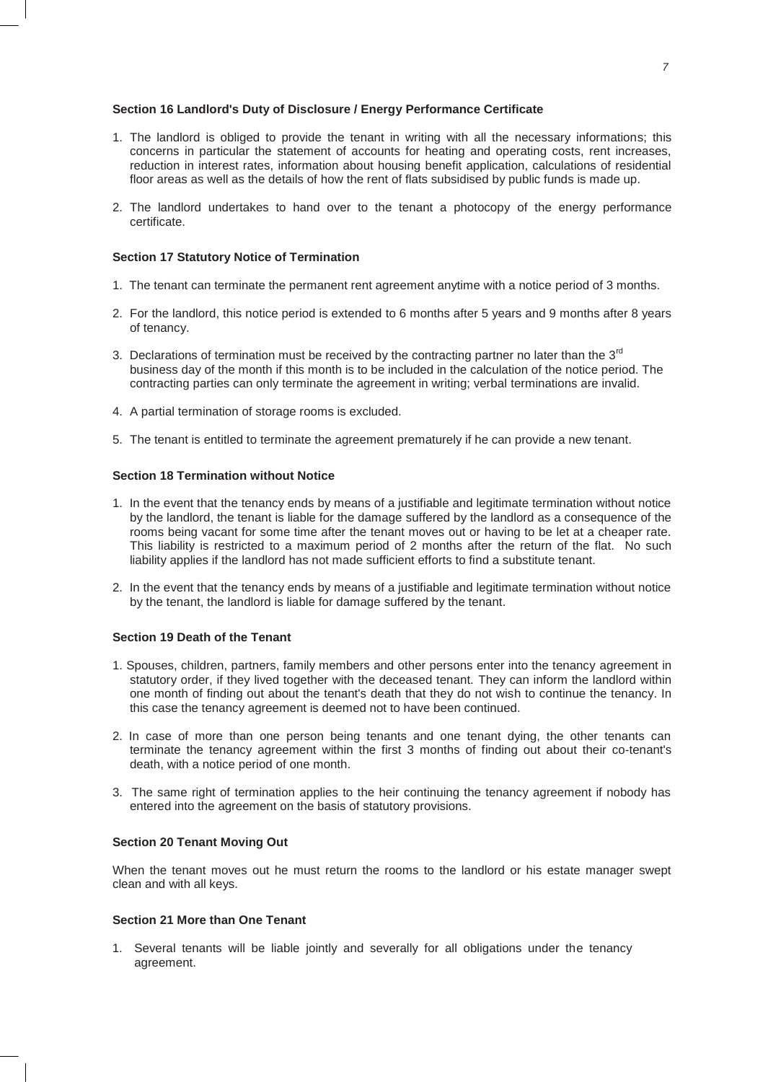# **Section 16 Landlord's Duty of Disclosure / Energy Performance Certificate**

- 1. The landlord is obliged to provide the tenant in writing with all the necessary informations; this concerns in particular the statement of accounts for heating and operating costs, rent increases, reduction in interest rates, information about housing benefit application, calculations of residential floor areas as well as the details of how the rent of flats subsidised by public funds is made up.
- 2. The landlord undertakes to hand over to the tenant a photocopy of the energy performance certificate.

### **Section 17 Statutory Notice of Termination**

- 1. The tenant can terminate the permanent rent agreement anytime with a notice period of 3 months.
- 2. For the landlord, this notice period is extended to 6 months after 5 years and 9 months after 8 years of tenancy.
- 3. Declarations of termination must be received by the contracting partner no later than the  $3<sup>rd</sup>$ business day of the month if this month is to be included in the calculation of the notice period. The contracting parties can only terminate the agreement in writing; verbal terminations are invalid.
- 4. A partial termination of storage rooms is excluded.
- 5. The tenant is entitled to terminate the agreement prematurely if he can provide a new tenant.

## **Section 18 Termination without Notice**

- 1. In the event that the tenancy ends by means of a justifiable and legitimate termination without notice by the landlord, the tenant is liable for the damage suffered by the landlord as a consequence of the rooms being vacant for some time after the tenant moves out or having to be let at a cheaper rate. This liability is restricted to a maximum period of 2 months after the return of the flat. No such liability applies if the landlord has not made sufficient efforts to find a substitute tenant.
- 2. In the event that the tenancy ends by means of a justifiable and legitimate termination without notice by the tenant, the landlord is liable for damage suffered by the tenant.

# **Section 19 Death of the Tenant**

- 1. Spouses, children, partners, family members and other persons enter into the tenancy agreement in statutory order, if they lived together with the deceased tenant. They can inform the landlord within one month of finding out about the tenant's death that they do not wish to continue the tenancy. In this case the tenancy agreement is deemed not to have been continued.
- 2. In case of more than one person being tenants and one tenant dying, the other tenants can terminate the tenancy agreement within the first 3 months of finding out about their co-tenant's death, with a notice period of one month.
- 3. The same right of termination applies to the heir continuing the tenancy agreement if nobody has entered into the agreement on the basis of statutory provisions.

## **Section 20 Tenant Moving Out**

When the tenant moves out he must return the rooms to the landlord or his estate manager swept clean and with all keys.

#### **Section 21 More than One Tenant**

1. Several tenants will be liable jointly and severally for all obligations under the tenancy agreement.